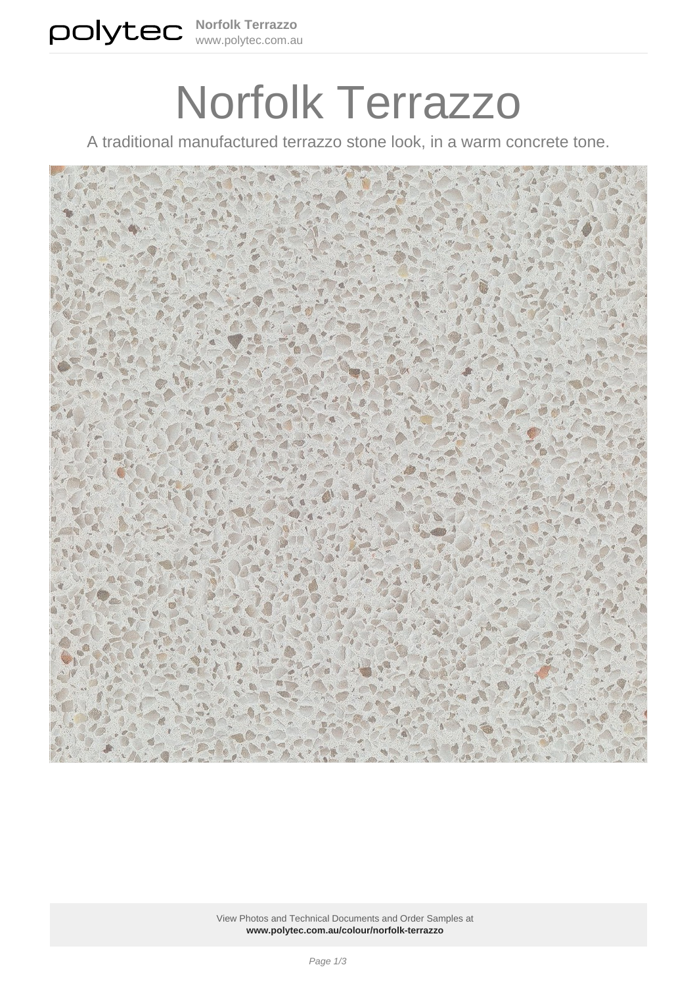# Norfolk Terrazzo

A traditional manufactured terrazzo stone look, in a warm concrete tone.



View Photos and Technical Documents and Order Samples at **[www.polytec.com.au/colour/norfolk-terrazzo](https://www.polytec.com.au/colour/norfolk-terrazzo/)**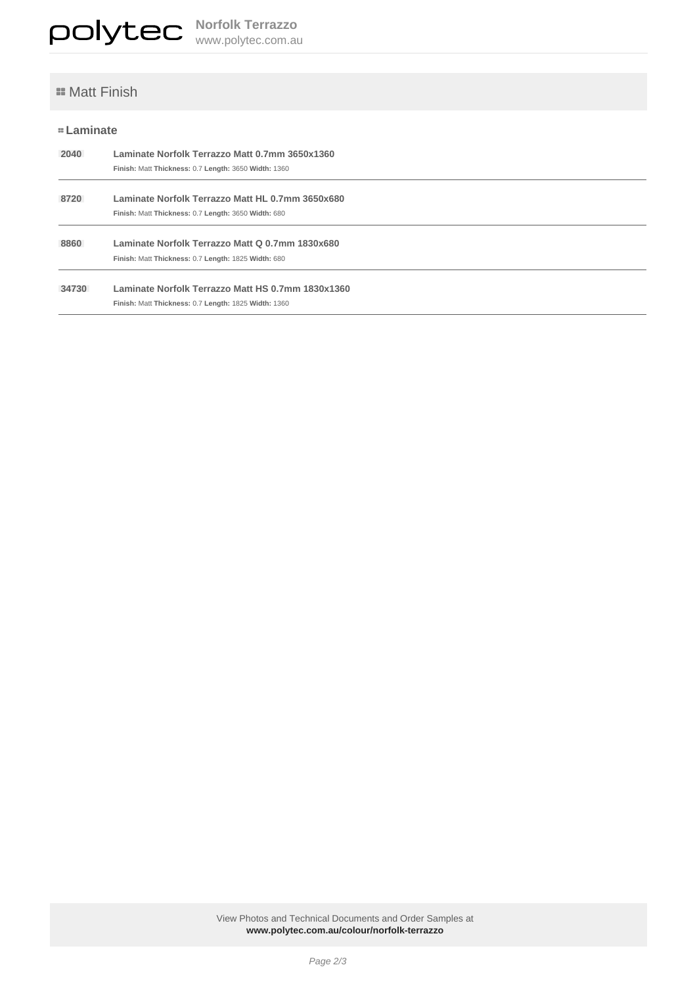## **E** Matt Finish

## **Laminate**

| 2040  | Laminate Norfolk Terrazzo Matt 0.7mm 3650x1360<br>Finish: Matt Thickness: 0.7 Length: 3650 Width: 1360    |
|-------|-----------------------------------------------------------------------------------------------------------|
| 8720  | Laminate Norfolk Terrazzo Matt HL 0.7mm 3650x680<br>Finish: Matt Thickness: 0.7 Length: 3650 Width: 680   |
| 8860  | Laminate Norfolk Terrazzo Matt Q 0.7mm 1830x680<br>Finish: Matt Thickness: 0.7 Length: 1825 Width: 680    |
| 34730 | Laminate Norfolk Terrazzo Matt HS 0.7mm 1830x1360<br>Finish: Matt Thickness: 0.7 Length: 1825 Width: 1360 |

View Photos and Technical Documents and Order Samples at **[www.polytec.com.au/colour/norfolk-terrazzo](https://www.polytec.com.au/colour/norfolk-terrazzo/)**